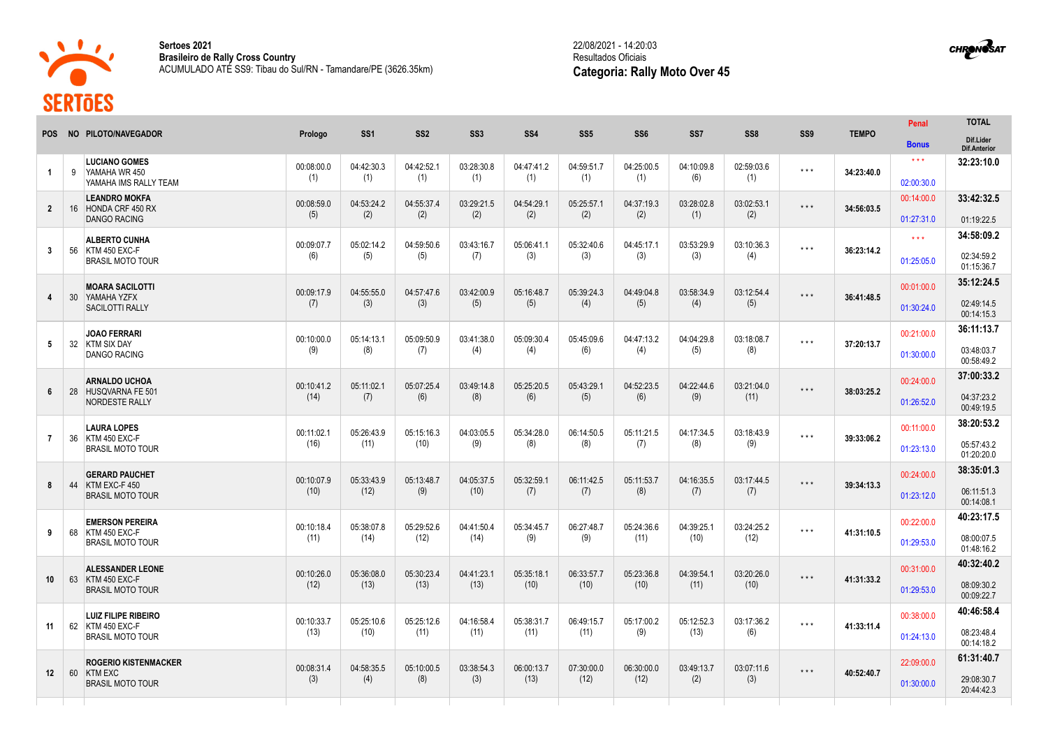

ताला

**Sertoes 2021 Brasileiro de Rally Cross Country** ACUMULADO ATÉ SS9: Tibau do Sul/RN - Tamandare/PE (3626.35km)

## 22/08/2021 - 14:20:03 Resultados Oficiais **Categoria: Rally Moto Over 45**

|                         |                 |                                                                     |                    |                    |                    |                    |                    |                    |                    |                    |                    |                         |              | Penal               | <b>TOTAL</b>              |
|-------------------------|-----------------|---------------------------------------------------------------------|--------------------|--------------------|--------------------|--------------------|--------------------|--------------------|--------------------|--------------------|--------------------|-------------------------|--------------|---------------------|---------------------------|
| <b>POS</b>              |                 | NO PILOTO/NAVEGADOR                                                 | Prologo            | SS <sub>1</sub>    | SS <sub>2</sub>    | <b>SS3</b>         | <b>SS4</b>         | SS <sub>5</sub>    | SS <sub>6</sub>    | SS7                | SS <sub>8</sub>    | SS9                     | <b>TEMPO</b> | <b>Bonus</b>        | Dif.Lider<br>Dif.Anterior |
| $\mathbf{1}$            | 9               | <b>LUCIANO GOMES</b><br>YAMAHA WR 450<br>YAMAHA IMS RALLY TEAM      | 00:08:00.0<br>(1)  | 04:42:30.3         | 04:42:52.1<br>(1)  | 03:28:30.8<br>(1)  | 04:47:41.2<br>(1)  | 04:59:51.7<br>(1)  | 04:25:00.5<br>(1)  | 04:10:09.8<br>(6)  | 02:59:03.6<br>(1)  | $\star$ $\star$ $\star$ | 34:23:40.0   | $* * *$             | 32:23:10.0                |
|                         |                 |                                                                     |                    | (1)                |                    |                    |                    |                    |                    |                    |                    |                         |              | 02:00:30.0          |                           |
| $\mathbf{2}$            |                 | <b>LEANDRO MOKFA</b><br>16 HONDA CRF 450 RX                         | 00:08:59.0         | 04:53:24.2         | 04:55:37.4         | 03:29:21.5         | 04:54:29.1<br>(2)  | 05:25:57.1<br>(2)  | 04:37:19.3<br>(2)  | 03:28:02.8<br>(1)  | 03:02:53.1<br>(2)  | $* * *$                 | 34:56:03.5   | 00:14:00.0          | 33:42:32.5                |
|                         |                 | DANGO RACING                                                        | (5)                | (2)                | (2)                | (2)                |                    |                    |                    |                    |                    |                         |              | 01:27:31.0          | 01:19:22.5                |
|                         |                 | <b>ALBERTO CUNHA</b><br>KTM 450 EXC-F<br><b>BRASIL MOTO TOUR</b>    | 00:09:07.7<br>(6)  | 05:02:14.2         | 04:59:50.6         | 03:43:16.7<br>(7)  | 05:06:41.1<br>(3)  | 05:32:40.6<br>(3)  | 04:45:17.1<br>(3)  | 03:53:29.9<br>(3)  | 03:10:36.3<br>(4)  | $* * *$                 | 36:23:14.2   | $\star \star \star$ | 34:58:09.2                |
| $\mathbf{3}$            | 56              |                                                                     |                    | (5)                | (5)                |                    |                    |                    |                    |                    |                    |                         |              | 01:25:05.0          | 02:34:59.2<br>01:15:36.7  |
|                         | 30 <sup>°</sup> | <b>MOARA SACILOTTI</b><br>YAMAHA YZFX<br><b>SACILOTTI RALLY</b>     | 00:09:17.9<br>(7)  | 04:55:55.0<br>(3)  | 04:57:47.6<br>(3)  | 03:42:00.9<br>(5)  | 05:16:48.7<br>(5)  | 05:39:24.3<br>(4)  | 04:49:04.8<br>(5)  | 03:58:34.9<br>(4)  | 03:12:54.4<br>(5)  | $\star$ $\star$ $\star$ | 36:41:48.5   | 00:01:00.0          | 35:12:24.5                |
| $\overline{\mathbf{4}}$ |                 |                                                                     |                    |                    |                    |                    |                    |                    |                    |                    |                    |                         |              | 01:30:24.0          | 02:49:14.5<br>00:14:15.3  |
|                         |                 | <b>JOAO FERRARI</b>                                                 | 00:10:00.0         | 05:14:13.1         | 05:09:50.9         | 03:41:38.0         | 05:09:30.4         | 05:45:09.6         | 04:47:13.2         | 04:04:29.8         | 03:18:08.7         |                         | 37:20:13.7   | 00:21:00.0          | 36:11:13.7                |
| 5                       | 32              | <b>KTM SIX DAY</b><br><b>DANGO RACING</b>                           | (9)                | (8)                | (7)                | (4)                | (4)                | (6)                | (4)                | (5)                | (8)                | $* * *$                 |              | 01:30:00.0          | 03:48:03.7<br>00:58:49.2  |
|                         |                 | <b>ARNALDO UCHOA</b>                                                | 00:10:41.2         | 05:11:02.1         | 05:07:25.4         | 03:49:14.8         | 05:25:20.5         | 05:43:29.1         | 04:52:23.5         | 04:22:44.6         | 03:21:04.0         |                         |              | 00:24:00.0          | 37:00:33.2                |
| 6                       | 28              | HUSQVARNA FE 501<br>NORDESTE RALLY                                  | (14)               | (7)                | (6)                | (8)                | (6)                | (5)                | (6)                | (9)                | (11)               | $* * *$                 | 38:03:25.2   | 01:26:52.0          | 04:37:23.2<br>00:49:19.5  |
|                         |                 | <b>LAURA LOPES</b>                                                  | 00:11:02.1         | 05:26:43.9         | 05:15:16.3         | 04:03:05.5         | 05:34:28.0         | 06:14:50.5         | 05:11:21.5         | 04:17:34.5         | 03:18:43.9         |                         | 39:33:06.2   | 00:11:00.0          | 38:20:53.2                |
| $\overline{7}$          |                 | 36 KTM 450 EXC-F<br><b>BRASIL MOTO TOUR</b>                         | (16)               | (11)               | (10)               | (9)                | (8)                | (8)                | (7)                | (8)                | (9)                | $\star$ $\star$ $\star$ |              | 01:23:13.0          | 05:57:43.2<br>01:20:20.0  |
|                         |                 | <b>GERARD PAUCHET</b>                                               | 00:10:07.9         | 05:33:43.9         | 05:13:48.7         | 04:05:37.5         | 05:32:59.1         | 06:11:42.5         | 05:11:53.7         | 04:16:35.5         | 03:17:44.5         |                         | 39:34:13.3   | 00:24:00.0          | 38:35:01.3                |
| 8                       | 44              | KTM EXC-F450<br><b>BRASIL MOTO TOUR</b>                             | (10)               | (12)               | (9)                | (10)               | (7)                | (7)                | (8)                | (7)                | (7)                | $\star$ $\star$ $\star$ |              | 01:23:12.0          | 06:11:51.3<br>00:14:08.1  |
|                         |                 | <b>EMERSON PEREIRA</b><br>KTM 450 EXC-F<br><b>BRASIL MOTO TOUR</b>  | 00:10:18.4<br>(11) | 05:38:07.8<br>(14) | 05:29:52.6<br>(12) | 04:41:50.4         | 05:34:45.7<br>(9)  | 06:27:48.7<br>(9)  | 05:24:36.6<br>(11) | 04:39:25.1<br>(10) | 03:24:25.2<br>(12) |                         |              | 00:22:00.0          | 40:23:17.5                |
| 9                       | 68              |                                                                     |                    |                    |                    | (14)               |                    |                    |                    |                    |                    | $***$                   | 41:31:10.5   | 01:29:53.0          | 08:00:07.5<br>01:48:16.2  |
|                         |                 | <b>ALESSANDER LEONE</b><br>KTM 450 EXC-F<br><b>BRASIL MOTO TOUR</b> | 00:10:26.0<br>(12) | 05:36:08.0         | 05:30:23.4         | 04:41:23.1<br>(13) | 05:35:18.1<br>(10) | 06:33:57.7<br>(10) | 05:23:36.8<br>(10) | 04:39:54.1<br>(11) | 03:20:26.0<br>(10) |                         |              | 00:31:00.0          | 40:32:40.2                |
| 10 <sup>°</sup>         | 63              |                                                                     |                    | (13)               | (13)               |                    |                    |                    |                    |                    |                    | $* * *$                 | 41:31:33.2   | 01:29:53.0          | 08:09:30.2<br>00:09:22.7  |
|                         |                 | <b>LUIZ FILIPE RIBEIRO</b>                                          | 00:10:33.7         | 05:25:10.6         | 05:25:12.6         | 04:16:58.4         | 05:38:31.7         | 06:49:15.7         | 05:17:00.2         | 05:12:52.3         | 03:17:36.2         |                         | 41:33:11.4   | 00:38:00.0          | 40:46:58.4                |
| 11                      |                 | 62 KTM 450 EXC-F<br><b>BRASIL MOTO TOUR</b>                         | (13)               | (10)               | (11)               | (11)               | (11)               | (11)               | (9)                | (13)               | (6)                | $\star$ $\star$ $\star$ |              | 01:24:13.0          | 08:23:48.4<br>00:14:18.2  |
|                         |                 | <b>ROGERIO KISTENMACKER</b>                                         | 00:08:31.4         | 04:58:35.5         | 05:10:00.5         | 03:38:54.3         | 06:00:13.7         | 07:30:00.0         | 06:30:00.0         |                    |                    |                         | 40:52:40.7   | 22:09:00.0          | 61:31:40.7                |
| 12 <sup>2</sup>         | 60              | <b>KTM EXC</b><br><b>BRASIL MOTO TOUR</b>                           | (3)                | (4)                | (8)                | (3)                | (13)               | (12)               | (12)               | 03:49:13.7<br>(2)  | 03:07:11.6<br>(3)  | $\star$ $\star$ $\star$ |              | 01:30:00.0          | 29:08:30.7<br>20:44:42.3  |
|                         |                 |                                                                     |                    |                    |                    |                    |                    |                    |                    |                    |                    |                         |              |                     |                           |